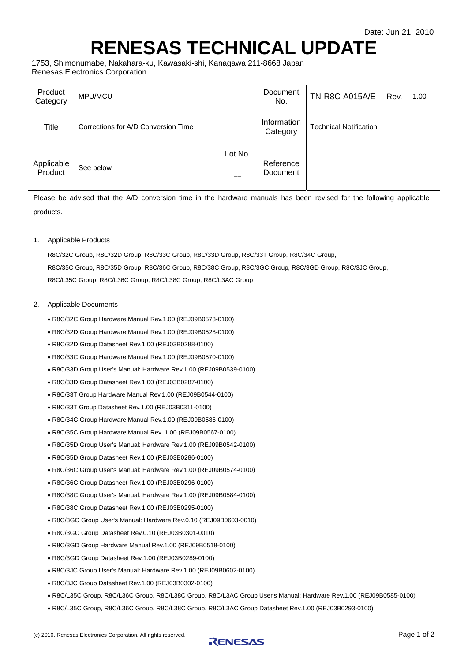# **RENESAS TECHNICAL UPDATE**

1753, Shimonumabe, Nakahara-ku, Kawasaki-shi, Kanagawa 211-8668 Japan Renesas Electronics Corporation

| Product<br>Category   | MPU/MCU                             |         | Document<br>No.         | <b>TN-R8C-A015A/E</b>         | Rev. | 1.00 |
|-----------------------|-------------------------------------|---------|-------------------------|-------------------------------|------|------|
| Title                 | Corrections for A/D Conversion Time |         | Information<br>Category | <b>Technical Notification</b> |      |      |
| Applicable<br>Product |                                     | Lot No. |                         |                               |      |      |
|                       | See below                           | __      | Reference<br>Document   |                               |      |      |

Please be advised that the A/D conversion time in the hardware manuals has been revised for the following applicable products.

### 1. Applicable Products

R8C/32C Group, R8C/32D Group, R8C/33C Group, R8C/33D Group, R8C/33T Group, R8C/34C Group, R8C/35C Group, R8C/35D Group, R8C/36C Group, R8C/38C Group, R8C/3GC Group, R8C/3GD Group, R8C/3JC Group, R8C/L35C Group, R8C/L36C Group, R8C/L38C Group, R8C/L3AC Group

### 2. Applicable Documents

- • [R8C/32C Group Hardware Manual](http://www.renesas.com/products/mpumcu/r8c/r8c3x/r8c32c/Documentation.jsp) Rev.1.00 (REJ09B0573-0100)
- • [R8C/32D Group Hardware Manual](http://www.renesas.com/products/mpumcu/r8c/r8c3x/r8c32d/Documentation.jsp) Rev.1.00 (REJ09B0528-0100)
- R8C/32D Group Datasheet Rev.1.00 (REJ03B0288-0100)
- • [R8C/33C Group Hardware Manua](http://www.renesas.com/products/mpumcu/r8c/r8c3x/r8c33c/Documentation.jsp)l Rev.1.00 (REJ09B0570-0100)
- • [R8C/33D Group User's Manual: Hardware](http://www.renesas.com/products/mpumcu/r8c/r8c3x/r8c33d/Documentation.jsp) Rev.1.00 (REJ09B0539-0100)
- R8C/33D Group Datasheet Rev.1.00 (REJ03B0287-0100)
- • [R8C/33T Group Hardware Manual](http://www.renesas.com/products/mpumcu/r8c/r8c3x/r8c33t/Documentation.jsp) Rev.1.00 (REJ09B0544-0100)
- R8C/33T Group Datasheet Rev.1.00 (REJ03B0311-0100)
- • [R8C/34C Group Hardware Manual](http://www.renesas.com/products/mpumcu/r8c/r8c3x/r8c34c/Documentation.jsp) Rev.1.00 (REJ09B0586-0100)
- • [R8C/35C Group Hardware Manual](http://www.renesas.com/products/mpumcu/r8c/r8c3x/r8c35c/Documentation.jsp) Rev. 1.00 (REJ09B0567-0100)
- • [R8C/35D Group User's Manual: Hardware](http://www.renesas.com/products/mpumcu/r8c/r8c3x/r8c35d/Documentation.jsp) Rev.1.00 (REJ09B0542-0100)
- R8C/35D Group Datasheet Rev.1.00 (REJ03B0286-0100)
- • [R8C/36C Group User's Manual: Hardware](http://www.renesas.com/products/mpumcu/r8c/r8c3x/r8c36c/Documentation.jsp) Rev.1.00 (REJ09B0574-0100)
- R8C/36C Group Datasheet Rev.1.00 (REJ03B0296-0100)
- • [R8C/38C Group User's Manual: Hardware](http://www.renesas.com/products/mpumcu/r8c/r8c3x/r8c38c/Documentation.jsp) Rev.1.00 (REJ09B0584-0100)
- R8C/38C Group Datasheet Rev.1.00 (REJ03B0295-0100)
- • [R8C/3GC Group User's Manual: Hardware](http://www.renesas.com/products/mpumcu/r8c/r8c3x/r8c38c/Documentation.jsp) Rev.0.10 (REJ09B0603-0010)
- R8C/3GC Group Datasheet Rev.0.10 (REJ03B0301-0010)
- • [R8C/3GD Group Hardware Manual](http://www.renesas.com/products/mpumcu/r8c/r8c3x/r8c3gd/Documentation.jsp) Rev.1.00 (REJ09B0518-0100)
- R8C/3GD Group Datasheet Rev.1.00 (REJ03B0289-0100)
- • [R8C/3JC Group User's Manual: Hardware](http://www.renesas.com/products/mpumcu/r8c/r8c3x/r8c38c/Documentation.jsp) Rev.1.00 (REJ09B0602-0100)
- R8C/3JC Group Datasheet Rev.1.00 (REJ03B0302-0100)
- R8C/L35C Group, R8C/L36C Group, R8C/L38C Group, R8C/L3AC Group [User's Manual: Hardware](http://www.renesas.com/products/mpumcu/r8c/r8c3x/r8c38c/Documentation.jsp) Rev.1.00 (REJ09B0585-0100)
- R8C/L35C Group, R8C/L36C Group, R8C/L38C Group, R8C/L3AC Group Datasheet Rev.1.00 (REJ03B0293-0100)